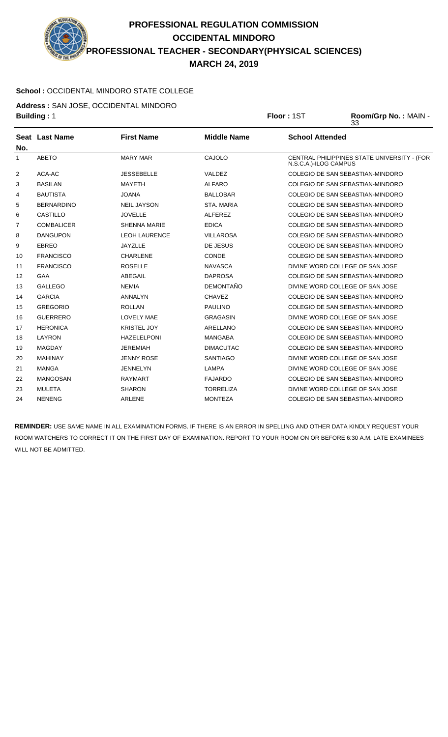**PROFESSIONAL REGULATION COMMISSION OCCIDENTAL MINDORO PROFESSIONAL TEACHER - SECONDARY(PHYSICAL SCIENCES) MARCH 24, 2019**

## **School :** OCCIDENTAL MINDORO STATE COLLEGE

**Address :** SAN JOSE, OCCIDENTAL MINDORO

|              | <b>Building: 1</b>    |                      | Floor: 1ST         | Room/Grp No.: MAIN -<br>33 |                                             |
|--------------|-----------------------|----------------------|--------------------|----------------------------|---------------------------------------------|
| No.          | <b>Seat Last Name</b> | <b>First Name</b>    | <b>Middle Name</b> | <b>School Attended</b>     |                                             |
| $\mathbf{1}$ | <b>ABETO</b>          | <b>MARY MAR</b>      | CAJOLO             | N.S.C.A.)-ILOG CAMPUS      | CENTRAL PHILIPPINES STATE UNIVERSITY - (FOR |
| 2            | ACA-AC                | <b>JESSEBELLE</b>    | VALDEZ             |                            | <b>COLEGIO DE SAN SEBASTIAN-MINDORO</b>     |
| 3            | <b>BASILAN</b>        | <b>MAYETH</b>        | <b>ALFARO</b>      |                            | COLEGIO DE SAN SEBASTIAN-MINDORO            |
| 4            | <b>BAUTISTA</b>       | JOANA                | BALLOBAR           |                            | COLEGIO DE SAN SEBASTIAN-MINDORO            |
| 5            | <b>BERNARDINO</b>     | <b>NEIL JAYSON</b>   | <b>STA, MARIA</b>  |                            | COLEGIO DE SAN SEBASTIAN-MINDORO            |
| 6            | <b>CASTILLO</b>       | <b>JOVELLE</b>       | <b>ALFEREZ</b>     |                            | COLEGIO DE SAN SEBASTIAN-MINDORO            |
| 7            | <b>COMBALICER</b>     | <b>SHENNA MARIE</b>  | <b>EDICA</b>       |                            | COLEGIO DE SAN SEBASTIAN-MINDORO            |
| 8            | <b>DANGUPON</b>       | <b>LEOH LAURENCE</b> | <b>VILLAROSA</b>   |                            | COLEGIO DE SAN SEBASTIAN-MINDORO            |
| 9            | <b>EBREO</b>          | <b>JAYZLLE</b>       | DE JESUS           |                            | COLEGIO DE SAN SEBASTIAN-MINDORO            |
| 10           | <b>FRANCISCO</b>      | <b>CHARLENE</b>      | <b>CONDE</b>       |                            | COLEGIO DE SAN SEBASTIAN-MINDORO            |
| 11           | <b>FRANCISCO</b>      | <b>ROSELLE</b>       | <b>NAVASCA</b>     |                            | DIVINE WORD COLLEGE OF SAN JOSE             |
| 12           | GAA                   | ABEGAIL              | <b>DAPROSA</b>     |                            | COLEGIO DE SAN SEBASTIAN-MINDORO            |
| 13           | <b>GALLEGO</b>        | <b>NEMIA</b>         | <b>DEMONTAÑO</b>   |                            | DIVINE WORD COLLEGE OF SAN JOSE             |
| 14           | <b>GARCIA</b>         | <b>ANNALYN</b>       | <b>CHAVEZ</b>      |                            | COLEGIO DE SAN SEBASTIAN-MINDORO            |
| 15           | <b>GREGORIO</b>       | <b>ROLLAN</b>        | <b>PAULINO</b>     |                            | COLEGIO DE SAN SEBASTIAN-MINDORO            |
| 16           | <b>GUERRERO</b>       | <b>LOVELY MAE</b>    | <b>GRAGASIN</b>    |                            | DIVINE WORD COLLEGE OF SAN JOSE             |
| 17           | <b>HERONICA</b>       | <b>KRISTEL JOY</b>   | <b>ARELLANO</b>    |                            | COLEGIO DE SAN SEBASTIAN-MINDORO            |
| 18           | LAYRON                | <b>HAZELELPONI</b>   | <b>MANGABA</b>     |                            | COLEGIO DE SAN SEBASTIAN-MINDORO            |
| 19           | <b>MAGDAY</b>         | <b>JEREMIAH</b>      | <b>DIMACUTAC</b>   |                            | COLEGIO DE SAN SEBASTIAN-MINDORO            |
| 20           | <b>MAHINAY</b>        | <b>JENNY ROSE</b>    | <b>SANTIAGO</b>    |                            | DIVINE WORD COLLEGE OF SAN JOSE             |
| 21           | <b>MANGA</b>          | <b>JENNELYN</b>      | <b>LAMPA</b>       |                            | DIVINE WORD COLLEGE OF SAN JOSE             |
| 22           | <b>MANGOSAN</b>       | <b>RAYMART</b>       | <b>FAJARDO</b>     |                            | COLEGIO DE SAN SEBASTIAN-MINDORO            |
| 23           | <b>MULETA</b>         | <b>SHARON</b>        | <b>TORRELIZA</b>   |                            | DIVINE WORD COLLEGE OF SAN JOSE             |
| 24           | <b>NENENG</b>         | <b>ARLENE</b>        | <b>MONTEZA</b>     |                            | COLEGIO DE SAN SEBASTIAN-MINDORO            |

**REMINDER:** USE SAME NAME IN ALL EXAMINATION FORMS. IF THERE IS AN ERROR IN SPELLING AND OTHER DATA KINDLY REQUEST YOUR ROOM WATCHERS TO CORRECT IT ON THE FIRST DAY OF EXAMINATION. REPORT TO YOUR ROOM ON OR BEFORE 6:30 A.M. LATE EXAMINEES WILL NOT BE ADMITTED.